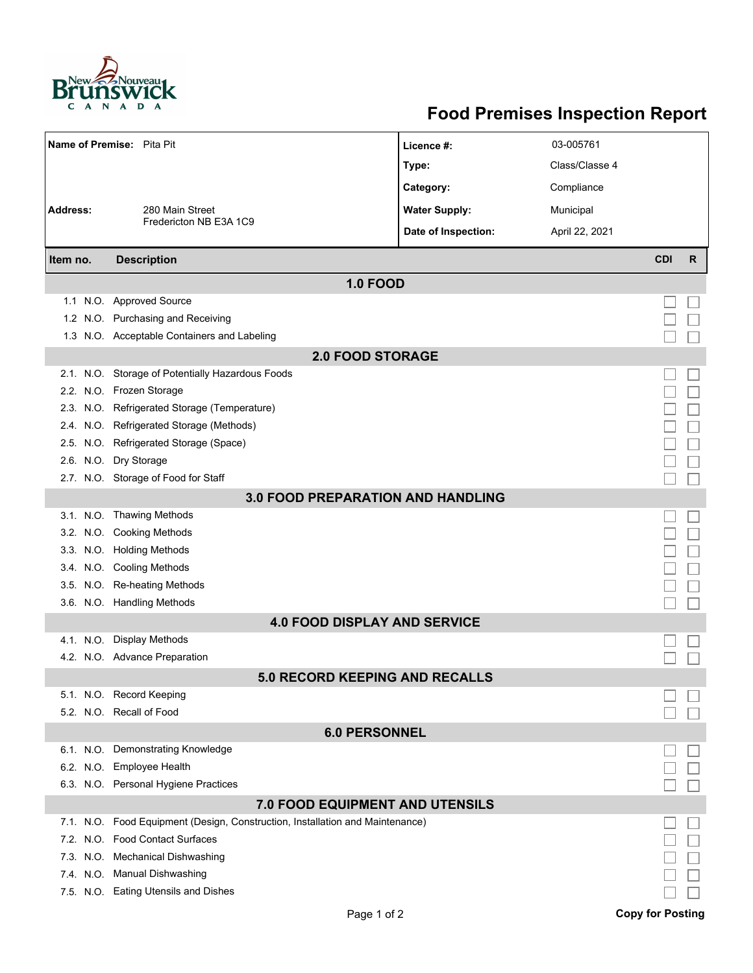

## **Food Premises Inspection Report**

| Name of Premise: Pita Pit                             |                                                                               | Licence #:           | 03-005761      |                         |   |  |  |  |  |
|-------------------------------------------------------|-------------------------------------------------------------------------------|----------------------|----------------|-------------------------|---|--|--|--|--|
|                                                       |                                                                               | Type:                | Class/Classe 4 |                         |   |  |  |  |  |
|                                                       |                                                                               |                      |                |                         |   |  |  |  |  |
| Address:<br>280 Main Street<br>Fredericton NB E3A 1C9 |                                                                               | Category:            | Compliance     |                         |   |  |  |  |  |
|                                                       |                                                                               | <b>Water Supply:</b> | Municipal      |                         |   |  |  |  |  |
|                                                       |                                                                               | Date of Inspection:  | April 22, 2021 |                         |   |  |  |  |  |
| Item no.                                              | <b>Description</b>                                                            |                      |                | <b>CDI</b>              | R |  |  |  |  |
| <b>1.0 FOOD</b>                                       |                                                                               |                      |                |                         |   |  |  |  |  |
|                                                       | 1.1 N.O. Approved Source                                                      |                      |                |                         |   |  |  |  |  |
|                                                       | 1.2 N.O. Purchasing and Receiving                                             |                      |                |                         |   |  |  |  |  |
|                                                       | 1.3 N.O. Acceptable Containers and Labeling                                   |                      |                |                         |   |  |  |  |  |
| <b>2.0 FOOD STORAGE</b>                               |                                                                               |                      |                |                         |   |  |  |  |  |
|                                                       | 2.1. N.O. Storage of Potentially Hazardous Foods                              |                      |                |                         |   |  |  |  |  |
|                                                       | 2.2. N.O. Frozen Storage                                                      |                      |                |                         |   |  |  |  |  |
|                                                       | 2.3. N.O. Refrigerated Storage (Temperature)                                  |                      |                |                         |   |  |  |  |  |
|                                                       | 2.4. N.O. Refrigerated Storage (Methods)                                      |                      |                |                         |   |  |  |  |  |
|                                                       | 2.5. N.O. Refrigerated Storage (Space)                                        |                      |                |                         |   |  |  |  |  |
|                                                       | 2.6. N.O. Dry Storage                                                         |                      |                |                         |   |  |  |  |  |
|                                                       | 2.7. N.O. Storage of Food for Staff                                           |                      |                |                         |   |  |  |  |  |
|                                                       | <b>3.0 FOOD PREPARATION AND HANDLING</b>                                      |                      |                |                         |   |  |  |  |  |
|                                                       | 3.1. N.O. Thawing Methods                                                     |                      |                |                         |   |  |  |  |  |
|                                                       | 3.2. N.O. Cooking Methods                                                     |                      |                |                         |   |  |  |  |  |
|                                                       | 3.3. N.O. Holding Methods                                                     |                      |                |                         |   |  |  |  |  |
|                                                       | 3.4. N.O. Cooling Methods                                                     |                      |                |                         |   |  |  |  |  |
|                                                       | 3.5. N.O. Re-heating Methods                                                  |                      |                |                         |   |  |  |  |  |
|                                                       | 3.6. N.O. Handling Methods                                                    |                      |                |                         |   |  |  |  |  |
| <b>4.0 FOOD DISPLAY AND SERVICE</b>                   |                                                                               |                      |                |                         |   |  |  |  |  |
|                                                       | 4.1. N.O. Display Methods                                                     |                      |                |                         |   |  |  |  |  |
|                                                       | 4.2. N.O. Advance Preparation                                                 |                      |                |                         |   |  |  |  |  |
|                                                       | <b>5.0 RECORD KEEPING AND RECALLS</b>                                         |                      |                |                         |   |  |  |  |  |
|                                                       | 5.1. N.O. Record Keeping                                                      |                      |                |                         |   |  |  |  |  |
|                                                       | 5.2. N.O. Recall of Food                                                      |                      |                |                         |   |  |  |  |  |
| <b>6.0 PERSONNEL</b>                                  |                                                                               |                      |                |                         |   |  |  |  |  |
|                                                       | 6.1. N.O. Demonstrating Knowledge                                             |                      |                |                         |   |  |  |  |  |
|                                                       | 6.2. N.O. Employee Health                                                     |                      |                |                         |   |  |  |  |  |
|                                                       | 6.3. N.O. Personal Hygiene Practices                                          |                      |                |                         |   |  |  |  |  |
|                                                       | <b>7.0 FOOD EQUIPMENT AND UTENSILS</b>                                        |                      |                |                         |   |  |  |  |  |
|                                                       | 7.1. N.O. Food Equipment (Design, Construction, Installation and Maintenance) |                      |                |                         |   |  |  |  |  |
|                                                       | 7.2. N.O. Food Contact Surfaces                                               |                      |                |                         |   |  |  |  |  |
|                                                       | 7.3. N.O. Mechanical Dishwashing                                              |                      |                |                         |   |  |  |  |  |
|                                                       | 7.4. N.O. Manual Dishwashing                                                  |                      |                |                         |   |  |  |  |  |
|                                                       | 7.5. N.O. Eating Utensils and Dishes                                          |                      |                |                         |   |  |  |  |  |
|                                                       | Page 1 of 2                                                                   |                      |                | <b>Copy for Posting</b> |   |  |  |  |  |